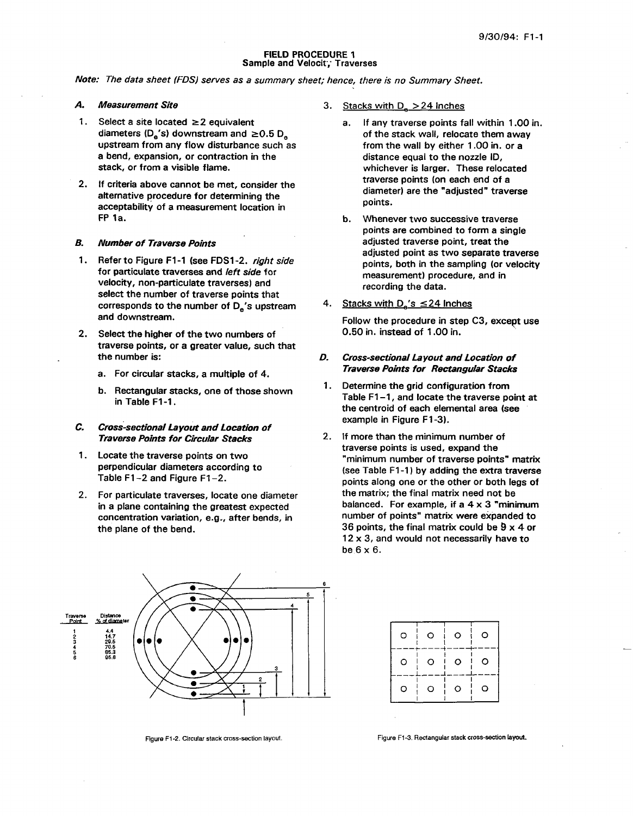#### FIELD PROCEDURE 1 Sample and Velocit; Traverses

*Note: The data sheet FDS) serves as a summary sheet; hence, there is no Summary Sheet.* 

## A.

- 1. Select a site located  $\geq 2$  equivalent diameters ( $D_{\rm e}$ 's) downstream and  $\geq 0.5$   $D_{\rm e}$ upstream from any flow disturbance such as a bend, expansion, or contraction in the stack, or from a visible flame.
- 2. If criteria above cannot be met, consider the alternative procedure for determining the acceptability of a measurement location in FP la.

#### *B. Number of Traverse Points*

- **1.**  Refer to Figure F1-1 (see FDSl-2. *right side*  for particulate traverses and left *side* for velocity, non-particulate traverses) and select the number of traverse points that corresponds to the number of **D,'s** upstream and downstream.
- **2.**  Select the higher of the two numbers of traverse points, or a greater value, such that the number is:
	- a. For circular stacks, a multiple of 4.
	- b. Rectangular stacks, one of those shown in Table F1-1.

#### C. *Cross-sectional Layout and Location of Traverse Points for Circular Stacks*

- 1. Locate the traverse points on two perpendicular diameters according to Table F1-2 and Figure F1-2.
- $2.$ For particulate traverses, locate one diameter in a plane containing the greatest expected concentration variation, e.g., after bends, in the plane of the bend.



- a. If any traverse points fall within 1 .OO in. of the stack wall, relocate them away from the wall by either 1.00 in. or a distance equal to the nozzle ID, whichever is larger. These relocated traverse points (on each end of a diameter) are the "adjusted" traverse points.
- points are combined to form a single adjusted traverse point, treat the adjusted point as two separate traverse points, both in the sampling (or velocity measurement) procedure, and in recording the data. b. Whenever two successive traverse
- 4. Stacks with  $D_{\rm g}$ 's  $\leq$  24 Inches

Follow the procedure in step **C3,** except use 0.50 in. instead of 1 .OO in.

- *0. Cross-sectional Layout and Location of Traverse Points for Rectangular Stacks*
- **1.** Determine the grid configuration from Table F1-1, and locate the traverse point at the centroid of each elemental area (see example in Figure F1-3).
- 2. If more than the minimum number of traverse points is used, expand the "minimum number of traverse points" matrix (see Table F1-1) by adding the extra traverse points along one or the other **or** both legs of the matrix; the final matrix need not be balanced. For example, if a 4 x **3** "minimum number of points" matrix were expanded to 36 points, the final matrix could be **9** x 4 or  $12 \times 3$ , and would not necessarily have to be  $6 \times 6$ .



| O | $\circ$ | $\circ$ | $\circ$                 |
|---|---------|---------|-------------------------|
| o | $\circ$ | $\circ$ | $\mathbf{1}$<br>$\circ$ |
| O | Э       | 0       | O                       |

Figure **F1-2.** Clrcular slack cross-section layout. Figure **F1-3.** Rectangular slack cross-section **layout.**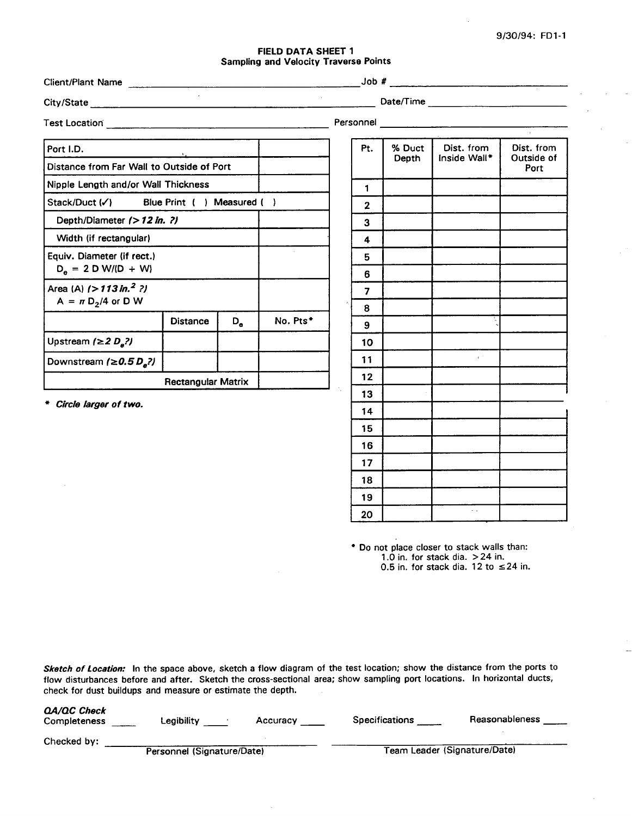## FIELD DATA SHEET 1 Sampling and Velocity Traverse Points

| <b>Client/Plant Name</b>                                    |                           |             | <u> 1980 - Andrea State Barbara, amerikan personal di Salam Barbara (</u> |                |        |              |                    |
|-------------------------------------------------------------|---------------------------|-------------|---------------------------------------------------------------------------|----------------|--------|--------------|--------------------|
|                                                             | $\sim$                    |             |                                                                           |                |        |              |                    |
|                                                             |                           |             |                                                                           |                |        |              |                    |
| Port I.D.                                                   |                           |             |                                                                           | Pt.            | % Duct | Dist. from   | Dist. from         |
| Distance from Far Wall to Outside of Port                   |                           |             |                                                                           |                | Depth  | Inside Wall* | Outside of<br>Port |
| Nipple Length and/or Wall Thickness                         |                           |             |                                                                           | 1              |        |              |                    |
| Stack/Duct (V) Blue Print ( ) Measured ( )                  |                           |             |                                                                           | $\overline{2}$ |        |              |                    |
| Depth/Diameter (> 12 in. ?)                                 |                           |             |                                                                           | 3              |        |              |                    |
| Width (if rectangular)                                      |                           |             |                                                                           | 4              |        |              |                    |
| Equiv. Diameter (if rect.)                                  |                           |             |                                                                           | 5              |        |              |                    |
| $D_e = 2 D W/(D + W)$                                       |                           |             |                                                                           | 6              |        |              |                    |
| Area (A) $(>113 \text{ in.}^2$ ?)<br>$A = \pi D_2/4$ or D W |                           |             |                                                                           | 7              |        |              |                    |
|                                                             | <b>Distance</b>           | $D_{\bf a}$ | No. Pts*                                                                  | 8              |        |              |                    |
|                                                             |                           |             |                                                                           | 9              |        |              |                    |
| Upstream $\left(\geq 2 D_{a}?\right)$                       |                           |             |                                                                           | 10             |        |              |                    |
| Downstream $\left(\geq 0.5 D_a?\right)$                     |                           |             |                                                                           | 11             |        | $\tau^{-1}$  |                    |
|                                                             | <b>Rectangular Matrix</b> |             |                                                                           | 12             |        |              |                    |
| * Circle larger of two.                                     |                           |             |                                                                           | 13             |        |              |                    |
|                                                             |                           |             |                                                                           | 14             |        |              |                    |

**Do** not place closer to stack walls than: 1 **.O** in. for stack dia. > 24 in. 0.5 in. for stack dia. 12 to **524** in.

15<br>
16<br>
17<br>
17<br>
18<br>
19<br>
19

 $\begin{bmatrix} 1 \end{bmatrix}$ 

**19 I** 

I I *I* **I <sup>I</sup>**

<u>I i 10 milion de la contrada de la contrada de la contrada de la contrada de la contrada de la contrada de la </u>

Sketch of Location: In the space above, sketch a flow diagram of the test location; show the distance from the ports to flow disturbances before and after. Sketch the cross-sectional area; show sampling port locations. In horizontal ducts, check for dust buildups and measure or estimate the depth. Sketch of Location: In the space above, sketch a flow diagram of the test location; show the distance from the ports to<br>flow disturbances before and after. Sketch the cross-sectional area; show sampling port locations. In

| Completeness | Legibility                 | Accuracy | <b>Specifications</b> | Reasonableness               |
|--------------|----------------------------|----------|-----------------------|------------------------------|
| Checked by:  | Personnel (Signature/Date) |          |                       | Team Leader (Signature/Date) |
|              |                            |          |                       |                              |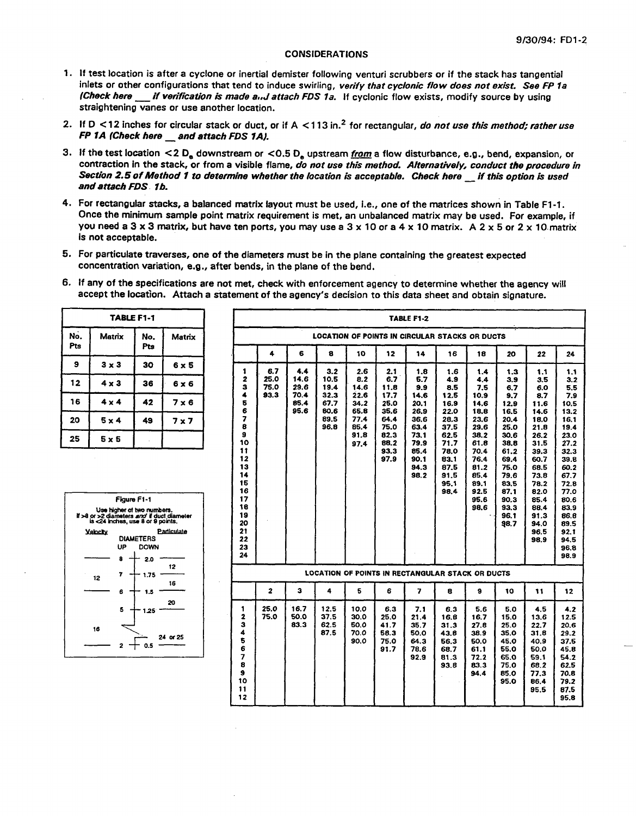## **CONSIDERATIONS**

- 1. If test location is after a cyclone or inertial demister following venturi scrubbers or if the stack has tangential inlets or other configurations that tend to induce swirling, *verify that cycionic flow does not exist. See FP 7a (Check here \_\_ if verification is made a.,J attach FDS 1a. If cyclonic flow exists, modify source by using* straightening vanes or use another location.
- **2.** If D < 12 inches for circular stack or duct, or if A < 1 *13* in.\* for rectangular, do not *use this method; rather use FRIA CHIPT VALUE OF USE ANOTHER IDCATION*<br> **FP 1A (Check here \_\_ and attach FDS 1A).**
- **3.** If the test location <2 **D,** downstream or *<0.5* **D,** upstream a flow disturbance, e.g., bend, expansion, or contraction in the stack, or from a visible flame, *do not use this method. Afternatively, conduct the procedure in If the test location <2 D<sub>e</sub> downstream or <0.5 D<sub>e</sub> upstream <u>from</u> a flow disturbance, e.g., bend, expansion, of contraction in the stack, or from a visible flame, <i>do not use this method. Alternatively, conduct the pro Section 2.5 of Method 1 to determine whether the location is acceptable. Check here \_\_if this option is used*<br>and attach FDS 1b.
- 4. For rectangular stacks, a balanced matrix layout must be used, i.e., one of the matrices shown in Table F1-1. Once the minimum sample point matrix requirement is met, an unbalanced matrix may be used. For example, if you need a **3** x **3** matrix, but have ten ports, you may use a *3* x 10 *or* a *4* x 10 matrix. A **2** x 5 or **2** x 10 matrix is not acceptable.
- 5. For particulate traverses, one of the diameters must be in the plane containing the greatest expected concentration variation, e.g., after bends, in the plane of the bend.
- 6. If any of the specifications are not met, check with enforcement agency to determine whether the agency will

| <b>TABLE F1-1</b> |              |            |              |  |  |  |  |  |
|-------------------|--------------|------------|--------------|--|--|--|--|--|
| No.<br>Pts        | Matrix       | No.<br>Pts | Matrix       |  |  |  |  |  |
| 9                 | $3 \times 3$ | 30         | $6 \times 5$ |  |  |  |  |  |
| 12                | $4 \times 3$ | 36         | $6 \times 6$ |  |  |  |  |  |
| 16                | $4 \times 4$ | 42         | $7 \times 6$ |  |  |  |  |  |
| 20                | $5 \times 4$ | 49         | 7 x 7        |  |  |  |  |  |
| 25                | $5 \times 5$ |            |              |  |  |  |  |  |



|                                                                                | TABLE F1-1       |              |              |                                   |              |              |              |              | <b>TABLE F1-2</b> |                                                  |              |              |              |                                                     |
|--------------------------------------------------------------------------------|------------------|--------------|--------------|-----------------------------------|--------------|--------------|--------------|--------------|-------------------|--------------------------------------------------|--------------|--------------|--------------|-----------------------------------------------------|
| Matrix                                                                         | No.              | Matrix       |              |                                   |              |              |              |              |                   | LOCATION OF POINTS IN CIRCULAR STACKS OR DUCTS   |              |              |              |                                                     |
|                                                                                | Pts              |              |              | 4                                 | 6            | 8            | 10           | 12           | 14                | 16                                               | 18           | 20           | 22           | 24                                                  |
| $3 \times 3$                                                                   | 30               | $6 \times 5$ |              | 1<br>6.7                          | 4.4          | 3.2          | 2.6          | 2.1          | 1.8               | 1.6                                              | 1.4          | 1.3          | 1.1          | 1.1                                                 |
| 4 x 3                                                                          | 36               | 6 x 6        |              | $\mathbf{2}$<br>25.0<br>75.0<br>3 | 14.6<br>29.6 | 10.5<br>19.4 | 8.2<br>14.6  | 6.7<br>11.8  | 5.7<br>9.9        | 4.9<br>8.5                                       | 4.4<br>7.5   | 3.9<br>6.7   | 3.5<br>6.0   | 3.2<br>5.5                                          |
| $4 \times 4$                                                                   | 42               | 7 x 6        |              | 4<br>93.3<br>5                    | 70.4<br>85.4 | 32.3<br>67.7 | 22.6<br>34.2 | 17.7<br>25.0 | 14.6<br>20.1      | 12.5<br>16.9                                     | 10.9<br>14.6 | 9.7<br>12.9  | 8.7<br>11.6  | 7.9<br>10.5                                         |
|                                                                                |                  |              |              | 6                                 | 95.6         | 80.6         | 65.8         | 35.6         | 26.9              | 22.0                                             | 18.8         | 16.5         | 14.6         | 13.2                                                |
| 5 x 4                                                                          | 49               | 7 x 7        | 7<br>8       |                                   |              | 89.5         | 77.4         | 64.4         | 36.6              | 28.3                                             | 23.6         | 20.4         | 18.0         | 16.1                                                |
|                                                                                |                  |              | 9            |                                   |              | 96.8         | 85.4<br>91.8 | 75.0<br>82.3 | 63.4<br>73.1      | 37.5<br>62.5                                     | 29.6<br>38.2 | 25.0<br>30.6 | 21.8<br>26.2 | 19.4<br>23.0                                        |
| $5 \times 5$                                                                   |                  |              | 10           |                                   |              |              | 97.4         | 88.2         | 79.9              | 71.7                                             | 61.8         | 38.8         | 31.5         | 27.2                                                |
|                                                                                |                  |              | 11           |                                   |              |              |              | 93.3         | 85.4              | 78.0                                             | 70.4         | 61.2         | 39.3         | 32.3                                                |
|                                                                                |                  |              | 12           |                                   |              |              |              | 97.9         | 90.1              | 83.1                                             | 76.4         | 69.4         | 60.7         | 39.8                                                |
|                                                                                |                  |              | 13           |                                   |              |              |              |              | 94.3              | 87.5                                             | 81.2         | 75.0         | 68.5         | 60.2                                                |
|                                                                                |                  |              | 14           |                                   |              |              |              |              | 98.2              | 91.5                                             | 85.4         | 79.6         | 73.8         | 67.7                                                |
|                                                                                |                  |              | 15           |                                   |              |              |              |              |                   | 95.1                                             | 89.1         | 83.5         | 78.2         | 72.8                                                |
|                                                                                | Figure F1-1      |              | 16<br>17     |                                   |              |              |              |              |                   | 98.4                                             | 92.5<br>95.6 | 87.1<br>90.3 | 82.0         | 77.0                                                |
|                                                                                |                  |              |              |                                   |              |              |              |              |                   |                                                  |              |              | 85.4         | 80.6                                                |
|                                                                                |                  |              |              |                                   |              |              |              |              |                   |                                                  |              |              |              |                                                     |
| Use higher of two numbers.                                                     |                  |              | 18           |                                   |              |              |              |              |                   |                                                  | 98.6         | 93.3         | 88.4         |                                                     |
| >8 or >2 diameters and if duct diameter<br>is $-24$ inches, use 8 or 9 points. |                  |              | 19           |                                   |              |              |              |              |                   |                                                  |              | 96.1         | 91.3         |                                                     |
|                                                                                |                  |              | 20<br>21     |                                   |              |              |              |              |                   |                                                  |              | 98.7         | 94.0         |                                                     |
| <b>Yaiochy</b>                                                                 | <b>DIAMETERS</b> | Particulate  | 22           |                                   |              |              |              |              |                   |                                                  |              |              | 96.5<br>98.9 |                                                     |
| UP                                                                             | <b>DOWN</b>      |              | 23           |                                   |              |              |              |              |                   |                                                  |              |              |              | 83.9<br>86.6<br>89.5<br>92.1<br>94.5<br>96.8        |
|                                                                                |                  |              | 24           |                                   |              |              |              |              |                   |                                                  |              |              |              |                                                     |
| 8                                                                              | 2.0              | 12           |              |                                   |              |              |              |              |                   |                                                  |              |              |              |                                                     |
| 7<br>12                                                                        | - 1.75           |              |              |                                   |              |              |              |              |                   | LOCATION OF POINTS IN RECTANGULAR STACK OR DUCTS |              |              |              |                                                     |
| 6                                                                              | 1.5              | 16           |              | $\mathbf{2}$                      | $\mathbf{3}$ | 4            | 5            | 6            | 7                 | 8                                                | 9            | 10           | 11           | 12                                                  |
| 5                                                                              | 1.25             | 20           | 1            | 25.0                              | 16.7         | 12.5         | 10.0         | 6.3          | 7.1               | 6.3                                              | 5.6          | 5.0          | 4.5          |                                                     |
|                                                                                |                  |              | $\mathbf{z}$ | 75.0                              | 50.0         | 37.5         | 30.0         | 25.0         | 21.4              | 16.8                                             | 16.7         | 15.0         | 13.6         |                                                     |
| 16                                                                             |                  |              | 3            |                                   | 83.3         | 62.5         | 50.0         | 41.7         | 35.7              | 31.3                                             | 27.8         | 25.0         | 22.7         |                                                     |
|                                                                                |                  | 24 or 25     | 4            |                                   |              | 87.5         | 70.0         | 58.3         | 50.0              | 43.8                                             | 38.9         | 35.0         | 31.8         |                                                     |
| $\mathbf{z}$                                                                   | 0.5              |              | 5            |                                   |              |              | 90.0         | 75.0         | 64.3              | 56.3                                             | 50.0         | 45.0         | 40.9         |                                                     |
|                                                                                |                  |              | 6            |                                   |              |              |              | 91.7         | 78.6              | 68.7                                             | 61.1         | 55.0         | 50.0         | 98.9<br>4.2<br>12.5<br>20.6<br>29.2<br>37.5<br>45.8 |
|                                                                                |                  |              | 7            |                                   |              |              |              |              | 92.9              | 81.3                                             | 72.2         | 65.0         | 59.1         | 54.2                                                |
|                                                                                |                  |              | 8<br>9       |                                   |              |              |              |              |                   | 93.8                                             | 83.3         | 75.0         | 68.2         | 62.5                                                |
|                                                                                |                  |              | 10           |                                   |              |              |              |              |                   |                                                  | 94.4         | 85.0<br>95.0 | 77.3<br>86.4 | 70.8<br>79.2                                        |
|                                                                                |                  |              | 11           |                                   |              |              |              |              |                   |                                                  |              |              | 95,5         | 87.5                                                |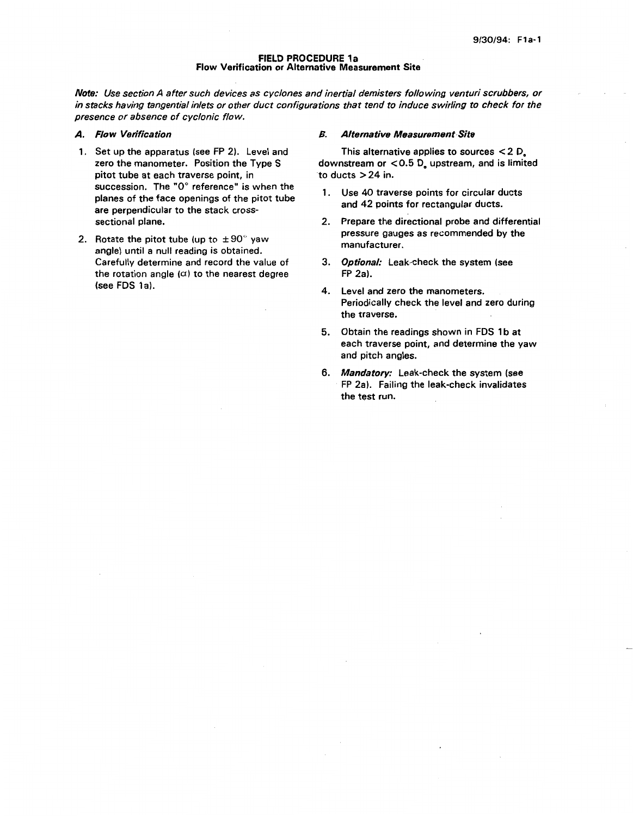### **FIELD PROCEDURE** la **Flow** Verification or Alternative Measurement Site

*Note: Use section A after such devices as cyclones and inertial demisters following venturi scrubbers, or in stacks having tangential inlets or other duct configurations that tend to induce swirling to check for the presence or absence of cyclonic flow.* 

#### *A. Flow Verification*

- 1. Set up the apparatus (see FP 2). Level and zero the manometer. Position the Type S pitot tube at each traverse point, in succession. The *"0"* reference" is when the planes of the face openings of the pitot tube are perpendicular to the stack crosssectional plane.
- 2. Rotate the pitot tube (up to  $\pm 90^\circ$  yaw angle) until a null reading is obtained. Carefully determine and record the value of the rotation angle  $(\alpha)$  to the nearest degree (see FDS la).

## *B. Alternative Measurement Site*

downstream or **<0.5 D,** upstream, and is limited to ducts  $>24$  in. This alternative applies to sources **c** 2 D,

- 1. Use 40 traverse points for circular ducts and 42 points for rectangular ducts.
- 2. Prepare the directional probe and differential pressure gauges as recommended by the manufacturer.
- **3.**  *Optional:* Leak-check the system (see FP 2a).
- 4. Level and zero the manometers. Periodically check the level and zero during the traverse.
- 5. Obtain the readings shown in FDS 1b at each traverse point, and determine the yaw and pitch angles.
- **6.**  *Mandatory:* Leak-check the system (see FP 2a). Failing the leak-check invalidates the test run.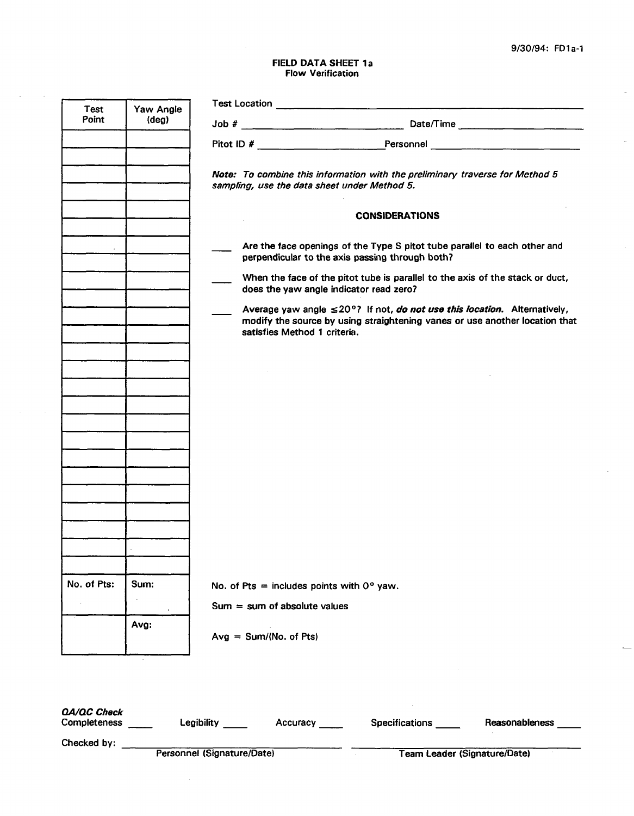$\overline{\phantom{a}}$ 

 $\mathbf{r}$ 

# **FIELD DATA SHEET** la **Flow** Verification

 $\sim 10^7$ 

 $\sim 10$ 

| Test                 | Yaw Angle      |                                   |                                                    |                                                                                                                              |                                                                             |
|----------------------|----------------|-----------------------------------|----------------------------------------------------|------------------------------------------------------------------------------------------------------------------------------|-----------------------------------------------------------------------------|
| Point                | $(\text{deg})$ |                                   |                                                    |                                                                                                                              |                                                                             |
|                      |                |                                   |                                                    |                                                                                                                              |                                                                             |
|                      |                |                                   | sampling, use the data sheet under Method 5.       | Note: To combine this information with the preliminary traverse for Method 5                                                 |                                                                             |
|                      |                |                                   |                                                    | <b>CONSIDERATIONS</b>                                                                                                        |                                                                             |
|                      |                |                                   |                                                    | Are the face openings of the Type S pitot tube parallel to each other and<br>perpendicular to the axis passing through both? |                                                                             |
|                      |                |                                   | does the yaw angle indicator read zero?            | When the face of the pitot tube is parallel to the axis of the stack or duct,                                                |                                                                             |
|                      |                |                                   | satisfies Method 1 criteria.                       | Average yaw angle $\leq 20^{\circ}$ ? If not, do not use this location. Alternatively,                                       | modify the source by using straightening vanes or use another location that |
|                      |                |                                   |                                                    |                                                                                                                              |                                                                             |
|                      |                |                                   |                                                    |                                                                                                                              |                                                                             |
|                      |                |                                   |                                                    |                                                                                                                              |                                                                             |
|                      |                |                                   |                                                    |                                                                                                                              |                                                                             |
|                      |                |                                   |                                                    |                                                                                                                              |                                                                             |
|                      |                |                                   |                                                    |                                                                                                                              |                                                                             |
|                      |                |                                   |                                                    |                                                                                                                              |                                                                             |
|                      |                |                                   |                                                    |                                                                                                                              |                                                                             |
| No. of Pts:          | Sum:           |                                   | No. of Pts = includes points with $0^{\circ}$ yaw. |                                                                                                                              |                                                                             |
|                      |                |                                   | $Sum = sum of absolute values$                     |                                                                                                                              |                                                                             |
|                      | Avg:           |                                   | $Avg = Sum/(No. of Pts)$                           |                                                                                                                              |                                                                             |
|                      |                |                                   |                                                    |                                                                                                                              |                                                                             |
| QA/QC Check          |                |                                   |                                                    | Completeness _____ Legibility _____ Accuracy _____ Specifications Reasonableness _                                           |                                                                             |
| Checked by: $\qquad$ |                |                                   |                                                    |                                                                                                                              |                                                                             |
|                      |                | <b>Personnel (Signature/Date)</b> |                                                    |                                                                                                                              | <b>Team Leader (Signature/Date)</b>                                         |

 $\sim$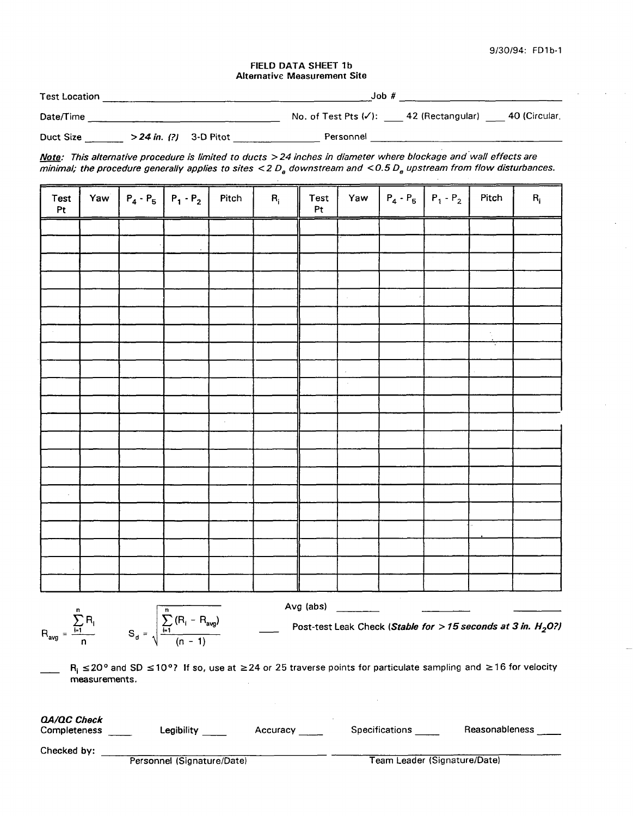*9130194:* **FD1 b-1** 

## FIELD DATA SHEET 1b Alternative Measurement Site

| <b>Test Location</b>                                                                                                                                                                                                          | Job#                                                                                                                                                                                                                          |
|-------------------------------------------------------------------------------------------------------------------------------------------------------------------------------------------------------------------------------|-------------------------------------------------------------------------------------------------------------------------------------------------------------------------------------------------------------------------------|
| Date/Time and the contract of the contract of the contract of the contract of the contract of the contract of the contract of the contract of the contract of the contract of the contract of the contract of the contract of | No. of Test Pts $(\checkmark)$ : 42 (Rectangular) 40 (Circular,                                                                                                                                                               |
| Duct Size $>24$ in. (?) 3-D Pitot                                                                                                                                                                                             | Personnel and the contract of the contract of the contract of the contract of the contract of the contract of the contract of the contract of the contract of the contract of the contract of the contract of the contract of |

| Test<br>Pt |  | Yaw $\begin{vmatrix} P_4 - P_5 \end{vmatrix}$ $P_1 - P_2$ | Pitch               | $\mathbf{R}_{\rm i}$ | Test<br>$\mathsf{Pt}$ | Yaw                 | $ P_4 \cdot P_5  P_1 \cdot P_2 $ | Pitch         | $\mathbf{R}_{\rm i}$ |
|------------|--|-----------------------------------------------------------|---------------------|----------------------|-----------------------|---------------------|----------------------------------|---------------|----------------------|
|            |  |                                                           |                     |                      |                       |                     |                                  |               |                      |
|            |  |                                                           |                     |                      |                       |                     |                                  |               |                      |
|            |  |                                                           |                     |                      |                       |                     | $\epsilon$                       |               |                      |
|            |  |                                                           |                     |                      |                       |                     |                                  |               |                      |
|            |  |                                                           |                     |                      |                       |                     |                                  |               |                      |
|            |  |                                                           |                     |                      |                       |                     |                                  |               |                      |
|            |  |                                                           |                     |                      |                       |                     |                                  | $\frac{1}{2}$ |                      |
|            |  |                                                           |                     |                      |                       |                     |                                  |               |                      |
|            |  |                                                           |                     |                      |                       |                     |                                  |               |                      |
|            |  |                                                           |                     |                      |                       | $\mathcal{A}^{\pm}$ |                                  |               |                      |
|            |  |                                                           |                     |                      |                       |                     |                                  |               |                      |
|            |  |                                                           | $\bar{\mathcal{A}}$ |                      |                       |                     |                                  |               |                      |
|            |  |                                                           |                     |                      |                       |                     |                                  |               |                      |
|            |  |                                                           |                     |                      |                       |                     |                                  |               |                      |
|            |  |                                                           |                     |                      |                       |                     |                                  |               |                      |
| ¥,         |  |                                                           |                     |                      |                       |                     |                                  |               |                      |
|            |  |                                                           |                     |                      |                       |                     |                                  |               |                      |
|            |  |                                                           |                     |                      |                       |                     |                                  |               |                      |
|            |  |                                                           |                     |                      |                       |                     |                                  |               |                      |
|            |  |                                                           |                     |                      |                       |                     |                                  |               |                      |
|            |  |                                                           |                     |                      |                       |                     |                                  |               |                      |

n **n** and **n** and **n** and **n** and **n** and **n** and **n** and **n** and **n** and **n** and **n** and **n** and **n** and **n** and **n** and **n** and **n** and **n** and **n** and **n** and **n** and **n** and **n** and **n** and **n** and **n** and **n** and **n**

Post-test Leak Check *(Stable* for > *75 seconds at 3 in. H,O?)* 

**Ri** *s2Oo* and SD **~10~7** If so, use at **224** or 25 traverse points for particulate sampling and **216** for velocity measurements.

| QA/QC Check |  |
|-------------|--|
| <b>A</b> I  |  |

| Completeness |  |
|--------------|--|
|              |  |

Legibility \_\_\_\_\_ Accuracy \_\_\_\_\_ Specifications \_\_\_\_ Reasonableness \_\_\_

Checked by:  $\overline{\phantom{a}}$ 

Personnel (Signature/Date) Team Leader (Signature/Date)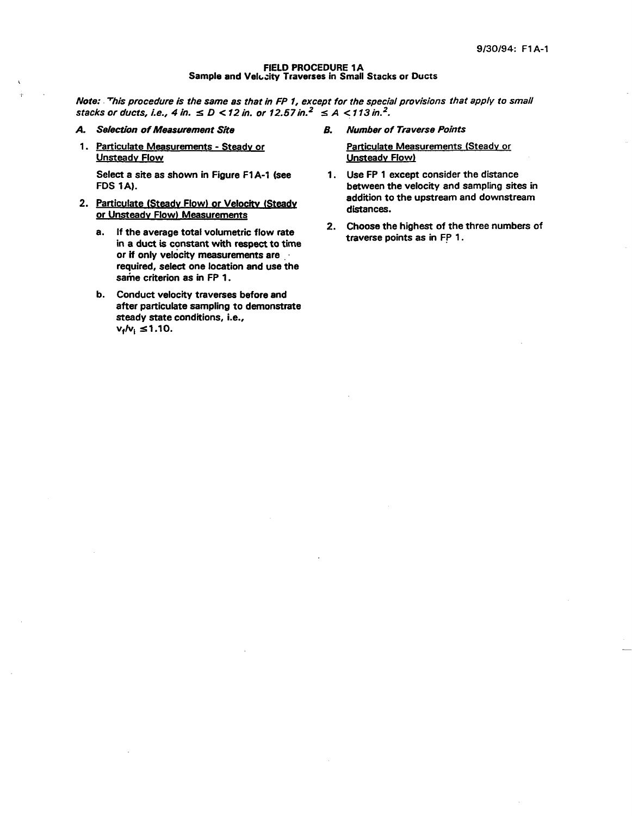#### FIELD PROCEDURE **1A**  Sample and Velccity Traverses in Small Stacks or Ducts

*Note: procedure is the same as that in FP* **7,** *except for the special provisions that apply to small stacks or ducts, i.e., 4 in.*  $\leq D$  < 12 in. or 12.57 in.<sup>2</sup>  $\leq A$  < 113 in.<sup>2</sup>.

*A. Selection of Measurement Site 6.* 

*1* 

1. Particulate Measurements - Steadv or Unsteadv Flow

FDS **1A).**  Select a site as shown in Figure F1A-1 (see

- 2. Particulate (Steady Flow) or Velocity (Steady or Unsteadv Flow) Measurements
	- a. If the average total volumetric flow rate in a duct is constant with respect to time or if only velocity measurements are required, select one location and use the same criterion as in FP 1.
	- b. Conduct velocity traverses before and after particulate sampling to demonstrate steady state conditions, i.e.,  $v_1/v_1 \le 1.10$ .

*Number of Traverse Points* 

Particulate Measurements (Steady **or**  Unsteadv Flow)

- 1. Use FP 1 except consider the distance between the velocity and sampling sites in addition to the upstream and downstream distances.
- **2.**  Choose the highest of the three numbers of traverse points as in FP 1.